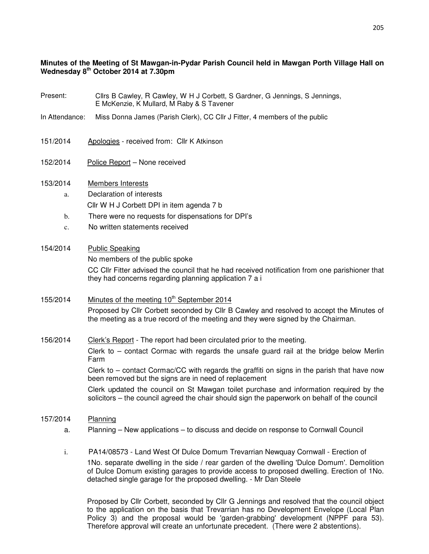### **Minutes of the Meeting of St Mawgan-in-Pydar Parish Council held in Mawgan Porth Village Hall on Wednesday 8th October 2014 at 7.30pm**

- Present: Cllrs B Cawley, R Cawley, W H J Corbett, S Gardner, G Jennings, S Jennings, E McKenzie, K Mullard, M Raby & S Tavener
- In Attendance: Miss Donna James (Parish Clerk), CC Cllr J Fitter, 4 members of the public
- 151/2014 Apologies received from: Cllr K Atkinson
- 152/2014 Police Report None received

#### 153/2014 Members Interests

- a. Declaration of interests Cllr W H J Corbett DPI in item agenda 7 b
- b. There were no requests for dispensations for DPI's
- c. No written statements received

#### 154/2014 Public Speaking

No members of the public spoke

CC Cllr Fitter advised the council that he had received notification from one parishioner that they had concerns regarding planning application 7 a i

# 155/2014 Minutes of the meeting  $10<sup>th</sup>$  September 2014 Proposed by Cllr Corbett seconded by Cllr B Cawley and resolved to accept the Minutes of the meeting as a true record of the meeting and they were signed by the Chairman.

#### 156/2014 Clerk's Report - The report had been circulated prior to the meeting.

Clerk to – contact Cormac with regards the unsafe guard rail at the bridge below Merlin Farm

Clerk to – contact Cormac/CC with regards the graffiti on signs in the parish that have now been removed but the signs are in need of replacement

Clerk updated the council on St Mawgan toilet purchase and information required by the solicitors – the council agreed the chair should sign the paperwork on behalf of the council

- 157/2014 Planning
	- a.Planning New applications to discuss and decide on response to Cornwall Council
	- i. PA14/08573 Land West Of Dulce Domum Trevarrian Newquay Cornwall Erection of 1No. separate dwelling in the side / rear garden of the dwelling 'Dulce Domum'. Demolition of Dulce Domum existing garages to provide access to proposed dwelling. Erection of 1No. detached single garage for the proposed dwelling. - Mr Dan Steele

Proposed by Cllr Corbett, seconded by Cllr G Jennings and resolved that the council object to the application on the basis that Trevarrian has no Development Envelope (Local Plan Policy 3) and the proposal would be 'garden-grabbing' development (NPPF para 53). Therefore approval will create an unfortunate precedent. (There were 2 abstentions).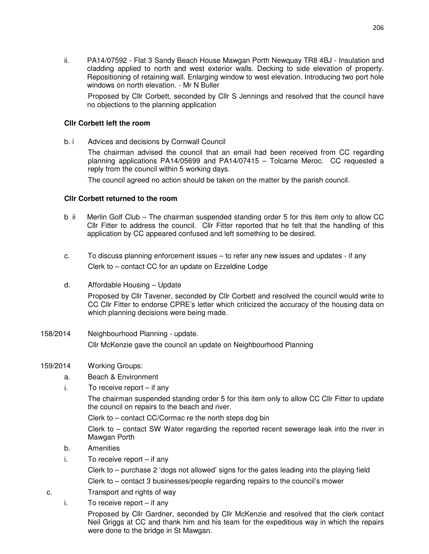ii. PA14/07592 - Flat 3 Sandy Beach House Mawgan Porth Newquay TR8 4BJ - Insulation and cladding applied to north and west exterior walls. Decking to side elevation of property. Repositioning of retaining wall. Enlarging window to west elevation. Introducing two port hole windows on north elevation. - Mr N Buller

 Proposed by Cllr Corbett, seconded by Cllr S Jennings and resolved that the council have no objections to the planning application

#### **Cllr Corbett left the room**

b. i Advices and decisions by Cornwall Council

The chairman advised the council that an email had been received from CC regarding planning applications PA14/05699 and PA14/07415 – Tolcarne Meroc. CC requested a reply from the council within 5 working days.

The council agreed no action should be taken on the matter by the parish council.

#### **Cllr Corbett returned to the room**

- b ii Merlin Golf Club The chairman suspended standing order 5 for this item only to allow CC Cllr Fitter to address the council. Cllr Fitter reported that he felt that the handling of this application by CC appeared confused and left something to be desired.
- c. To discuss planning enforcement issues to refer any new issues and updates if any Clerk to – contact CC for an update on Ezzeldine Lodge
- d. Affordable Housing Update

Proposed by Cllr Tavener, seconded by Cllr Corbett and resolved the council would write to CC Cllr Fitter to endorse CPRE's letter which criticized the accuracy of the housing data on which planning decisions were being made.

158/2014 Neighbourhood Planning - update. Cllr McKenzie gave the council an update on Neighbourhood Planning

#### 159/2014 Working Groups:

- a. Beach & Environment
- i. To receive report if any

The chairman suspended standing order 5 for this item only to allow CC Cllr Fitter to update the council on repairs to the beach and river.

Clerk to – contact CC/Cormac re the north steps dog bin

Clerk to – contact SW Water regarding the reported recent sewerage leak into the river in Mawgan Porth

- b. Amenities
- i. To receive report if any

 Clerk to – purchase 2 'dogs not allowed' signs for the gates leading into the playing field Clerk to – contact 3 businesses/people regarding repairs to the council's mower

- c. Transport and rights of way
	- i. To receive report if any

Proposed by Cllr Gardner, seconded by Cllr McKenzie and resolved that the clerk contact Neil Griggs at CC and thank him and his team for the expeditious way in which the repairs were done to the bridge in St Mawgan.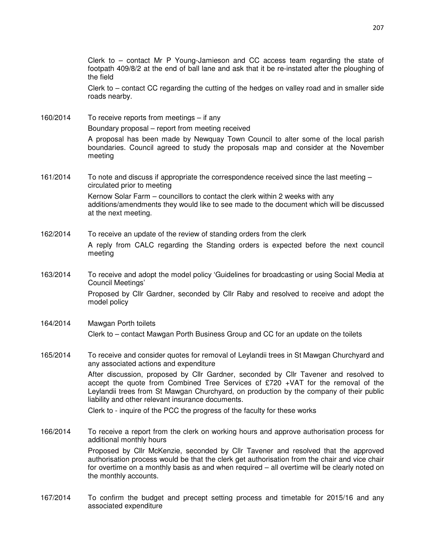Clerk to – contact Mr P Young-Jamieson and CC access team regarding the state of footpath 409/8/2 at the end of ball lane and ask that it be re-instated after the ploughing of the field

Clerk to – contact CC regarding the cutting of the hedges on valley road and in smaller side roads nearby.

160/2014 To receive reports from meetings – if any Boundary proposal – report from meeting received

> A proposal has been made by Newquay Town Council to alter some of the local parish boundaries. Council agreed to study the proposals map and consider at the November meeting

161/2014 To note and discuss if appropriate the correspondence received since the last meeting – circulated prior to meeting Kernow Solar Farm – councillors to contact the clerk within 2 weeks with any additions/amendments they would like to see made to the document which will be discussed at the next meeting.

162/2014 To receive an update of the review of standing orders from the clerk A reply from CALC regarding the Standing orders is expected before the next council meeting

163/2014 To receive and adopt the model policy 'Guidelines for broadcasting or using Social Media at Council Meetings'

 Proposed by Cllr Gardner, seconded by Cllr Raby and resolved to receive and adopt the model policy

## 164/2014 Mawgan Porth toilets Clerk to – contact Mawgan Porth Business Group and CC for an update on the toilets

165/2014 To receive and consider quotes for removal of Leylandii trees in St Mawgan Churchyard and any associated actions and expenditure

> After discussion, proposed by Cllr Gardner, seconded by Cllr Tavener and resolved to accept the quote from Combined Tree Services of £720 +VAT for the removal of the Leylandii trees from St Mawgan Churchyard, on production by the company of their public liability and other relevant insurance documents.

Clerk to - inquire of the PCC the progress of the faculty for these works

166/2014 To receive a report from the clerk on working hours and approve authorisation process for additional monthly hours

 Proposed by Cllr McKenzie, seconded by Cllr Tavener and resolved that the approved authorisation process would be that the clerk get authorisation from the chair and vice chair for overtime on a monthly basis as and when required – all overtime will be clearly noted on the monthly accounts.

167/2014 To confirm the budget and precept setting process and timetable for 2015/16 and any associated expenditure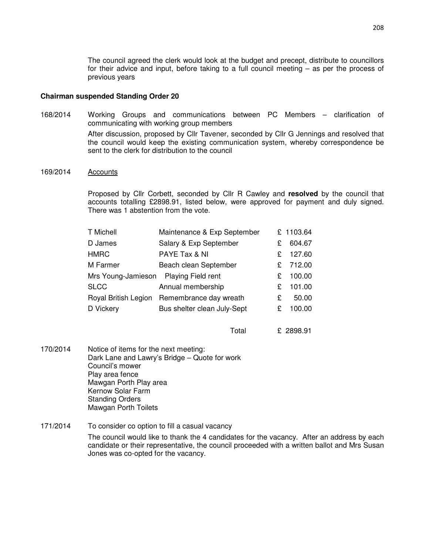The council agreed the clerk would look at the budget and precept, distribute to councillors for their advice and input, before taking to a full council meeting – as per the process of previous years

#### **Chairman suspended Standing Order 20**

168/2014 Working Groups and communications between PC Members – clarification of communicating with working group members After discussion, proposed by Cllr Tavener, seconded by Cllr G Jennings and resolved that

the council would keep the existing communication system, whereby correspondence be sent to the clerk for distribution to the council

169/2014 Accounts

Proposed by Cllr Corbett, seconded by Cllr R Cawley and **resolved** by the council that accounts totalling £2898.91, listed below, were approved for payment and duly signed. There was 1 abstention from the vote.

| <b>T Michell</b>   | Maintenance & Exp September                 |   | £ 1103.64 |
|--------------------|---------------------------------------------|---|-----------|
| D James            | Salary & Exp September                      | £ | 604.67    |
| <b>HMRC</b>        | PAYE Tax & NI                               | £ | 127.60    |
| M Farmer           | Beach clean September                       | £ | 712.00    |
| Mrs Young-Jamieson | Playing Field rent                          | £ | 100.00    |
| <b>SLCC</b>        | Annual membership                           | £ | 101.00    |
|                    | Royal British Legion Remembrance day wreath | £ | 50.00     |
| D Vickery          | Bus shelter clean July-Sept                 | £ | 100.00    |
|                    |                                             |   |           |

Total £ 2898.91

- 170/2014 Notice of items for the next meeting: Dark Lane and Lawry's Bridge – Quote for work Council's mower Play area fence Mawgan Porth Play area Kernow Solar Farm Standing Orders Mawgan Porth Toilets
- 171/2014 To consider co option to fill a casual vacancy The council would like to thank the 4 candidates for the vacancy. After an address by each candidate or their representative, the council proceeded with a written ballot and Mrs Susan Jones was co-opted for the vacancy.